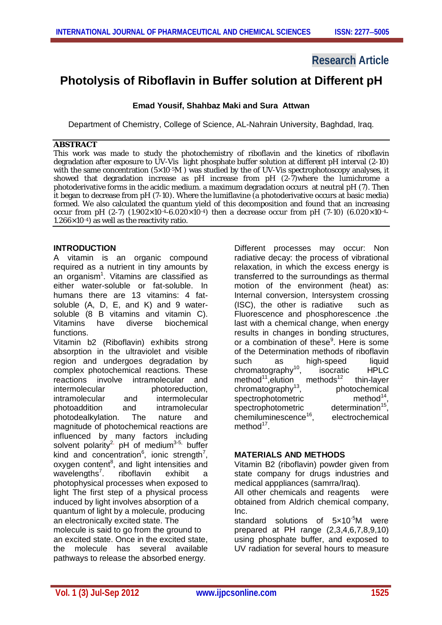## **Research Article**

# **Photolysis of Riboflavin in Buffer solution at Different pH**

## **Emad Yousif, Shahbaz Maki and Sura Attwan**

Department of Chemistry, College of Science, AL-Nahrain University, Baghdad, Iraq.

### **ABSTRACT**

This work was made to study the photochemistry of riboflavin and the kinetics of riboflavin degradation after exposure to UV-Vis light phosphate buffer solution at different pH interval (2-10) with the same concentration (5×10<sup>-5</sup>M) was studied by the of UV-Vis spectrophotoscopy analyses, it showed that degradation increase as pH increase from pH (2-7)where the lumichrome a photoderivative forms in the acidic medium. a maximum degradation occurs at neutral pH (7). Then it began to decrease from pH (7-10). Where the lumiflavine (a photoderivative occurs at basic media) formed. We also calculated the quantum yield of this decomposition and found that an increasing occur from pH (2-7) (1.902×10-4-6.020×10-4) then a decrease occur from pH (7-10) (6.020×10-4-1.266×10-4) as well as the reactivity ratio.

### **INTRODUCTION**

A vitamin is an organic compound required as a nutrient in tiny amounts by an organism<sup>1</sup>. Vitamins are classified as either water-soluble or fat-soluble. In humans there are 13 vitamins: 4 fatsoluble (A, D, E, and K) and 9 watersoluble (8 B vitamins and vitamin C).<br>Vitamins have diverse biochemical Vitamins have diverse functions.

Vitamin b2 (Riboflavin) exhibits strong absorption in the ultraviolet and visible region and undergoes degradation by complex photochemical reactions. These reactions involve intramolecular and intermolecular photoreduction. intramolecular and intermolecular photoaddition and intramolecular photodealkylation. The nature and magnitude of photochemical reactions are influenced by many factors including solvent polarity<sup>2,</sup> pH of medium<sup>3-5,</sup> buffer kind and concentration<sup>6</sup>, ionic strength<sup>7</sup>, oxygen content<sup>8</sup>, and light intensities and wavelengths<sup>7</sup>. . riboflavin exhibit a photophysical processes when exposed to light The first step of a physical process induced by light involves absorption of a quantum of light by a molecule, producing an electronically excited state. The molecule is said to go from the ground to an excited state. Once in the excited state, the molecule has several available pathways to release the absorbed energy.

Different processes may occur: Non radiative decay: the process of vibrational relaxation, in which the excess energy is transferred to the surroundings as thermal motion of the environment (heat) as: Internal conversion, Intersystem crossing (ISC), the other is radiative such as Fluorescence and phosphorescence .the last with a chemical change, when energy results in changes in bonding structures, or a combination of these<sup>9</sup>. Here is some of the Determination methods of riboflavin such as high-speed liquid<br>chromatography<sup>10</sup>. isocratic HPLC chromatography<sup>10</sup>, isocratic HPLC<br>method<sup>11</sup> elution methods<sup>12</sup> thin-layer method<sup>11</sup>, elution methods<sup>12</sup>  $chromatography<sup>13</sup>$ , photochemical spectrophotometric method $14$ . spectrophotometric determination<sup>15</sup>, chemiluminescence<sup>16</sup>. , electrochemical method<sup>17</sup>.

### **MATERIALS AND METHODS**

Vitamin B2 (riboflavin) powder given from state company for drugs industries and medical apppliances (samrra/Iraq).

All other chemicals and reagents were obtained from Aldrich chemical company,  $Inc$ 

standard solutions of 5x10<sup>-5</sup>M were prepared at PH range (2,3,4,6,7,8,9,10) using phosphate buffer, and exposed to UV radiation for several hours to measure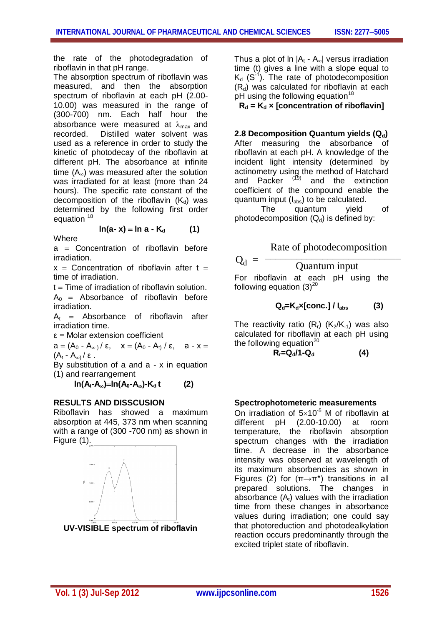the rate of the photodegradation of riboflavin in that pH range.

The absorption spectrum of riboflavin was measured, and then the absorption spectrum of riboflavin at each pH (2.00- 10.00) was measured in the range of (300-700) nm. Each half hour the absorbance were measured at  $\lambda_{\text{max}}$  and recorded. Distilled water solvent was used as a reference in order to study the kinetic of photodecay of the riboflavin at different pH. The absorbance at infinite time  $(A_{\infty})$  was measured after the solution was irradiated for at least (more than 24 hours). The specific rate constant of the decomposition of the riboflavin  $(K_d)$  was determined by the following first order equation 18

$$
\ln(a-x) = \ln a - K_d \tag{1}
$$

**Where** 

 $a =$  Concentration of riboflavin before irradiation.

 $x =$  Concentration of riboflavin after  $t =$ time of irradiation.

 $t =$ Time of irradiation of riboflavin solution.  $A_0$  = Absorbance of riboflavin before irradiation.

 $A_t$  = Absorbance of riboflavin after irradiation time.

ε = Molar extension coefficient

 $a = (A_0 - A_{\infty}) / \varepsilon$ ,  $x = (A_0 - A_t) / \varepsilon$ ,  $a - x =$  $(A_t - A_{\infty}) / \varepsilon$ .

By substitution of a and a - x in equation (1) and rearrangement

 $\ln(A_t - A_\infty) = \ln(A_0 - A_\infty) - K_d t$  (2)

### **RESULTS AND DISSCUSION**

Riboflavin has showed a maximum absorption at 445, 373 nm when scanning with a range of (300 -700 nm) as shown in Figure (1).



**UV-VISIBLE spectrum of riboflavin**

Thus a plot of  $\ln |A_t - A_{\infty}|$  versus irradiation time (t) gives a line with a slope equal to  $K_d$  (S<sup>-1</sup>). The rate of photodecomposition  $(R_d)$  was calculated for riboflavin at each pH using the following equation<sup>18</sup>

 $R_d = K_d \times$  [concentration of riboflavin]

#### 2.8 Decomposition Quantum yields (Q<sub>d</sub>)

After measuring the absorbance of riboflavin at each pH. A knowledge of the incident light intensity (determined by actinometry using the method of Hatchard and Packer  $(19)$  and the extinction coefficient of the compound enable the quantum input  $(I_{\text{abs}})$  to be calculated.

The quantum yield of photodecomposition  $(Q_d)$  is defined by:

Rate of photodecomposition

$$
Q_d = \frac{P_{\text{time}} \cdot P_{\text{pre}} \cdot P_{\text{system}}}{\text{Quantum input}}
$$
  
For riboflavin at each pH using the following equation (3)<sup>20</sup>

$$
Q_{d} = K_{d} \times [conc.] / I_{abs}
$$
 (3)

The reactivity ratio  $(R<sub>r</sub>)$   $(K_2/K_{-1})$  was also calculated for riboflavin at each pH using the following equation $20$ 

$$
R_r = Q_d / 1 - Q_d \tag{4}
$$

#### **Spectrophotometeric measurements**

On irradiation of  $5\times10^{-5}$  M of riboflavin at different pH (2.00-10.00) at room temperature, the riboflavin absorption spectrum changes with the irradiation time. A decrease in the absorbance intensity was observed at wavelength of its maximum absorbencies as shown in Figures (2) for  $(\pi \rightarrow \pi^*)$  transitions in all prepared solutions. The changes in absorbance  $(A_t)$  values with the irradiation time from these changes in absorbance values during irradiation; one could say that photoreduction and photodealkylation reaction occurs predominantly through the excited triplet state of riboflavin.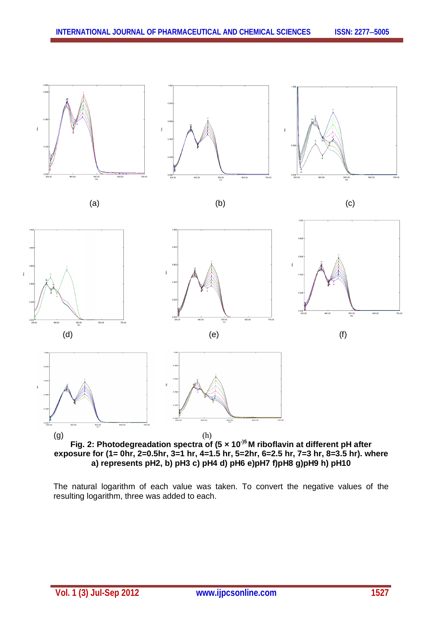



The natural logarithm of each value was taken. To convert the negative values of the resulting logarithm, three was added to each.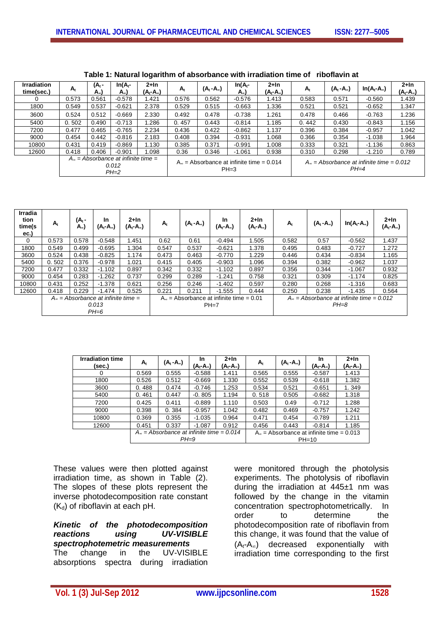| <b>Irradiation</b><br>time(sec.) | $A_t$                                                           | (A <sub>t</sub> -<br>A) | $In(A_t$ -<br>A) | $2+ln$<br>(A <sub>t</sub> -A)                        | $A_t$ | $(A_t - A_\infty)$ | $In(At -$<br>$A_{\infty}$                            | $2+ln$<br>(A <sub>t</sub> -A) | $A_{t}$ | (A <sub>t</sub> -A) | $In(A_t-A_0)$ | $2+ln$<br>$(A_t - A_\infty)$ |
|----------------------------------|-----------------------------------------------------------------|-------------------------|------------------|------------------------------------------------------|-------|--------------------|------------------------------------------------------|-------------------------------|---------|---------------------|---------------|------------------------------|
|                                  | 0.573                                                           | 0.561                   | $-0.578$         | 1.421                                                | 0.576 | 0.562              | $-0.576$                                             | 1.413                         | 0.583   | 0.571               | $-0.560$      | 1.439                        |
| 1800                             | 0.549                                                           | 0.537                   | $-0.621$         | 2.378                                                | 0.529 | 0.515              | $-0.663$                                             | 1.336                         | 0.521   | 0.521               | $-0.652$      | 1.347                        |
| 3600                             | 0.524                                                           | 0.512                   | $-0.669$         | 2.330                                                | 0.492 | 0.478              | $-0.738$                                             | 1.261                         | 0.478   | 0.466               | $-0.763$      | 1.236                        |
| 5400                             | 0.502                                                           | 0.490                   | $-0.713$         | 1.286                                                | 0.457 | 0.443              | $-0.814$                                             | 1.185                         | 0.442   | 0.430               | $-0.843$      | 1.156                        |
| 7200                             | 0.477                                                           | 0.465                   | $-0.765$         | 2.234                                                | 0.436 | 0.422              | $-0.862$                                             | 1.137                         | 0.396   | 0.384               | $-0.957$      | 1.042                        |
| 9000                             | 0.454                                                           | 0.442                   | $-0.816$         | 2.183                                                | 0.408 | 0.394              | $-0.931$                                             | 1.068                         | 0.366   | 0.354               | $-1.038$      | 1.964                        |
| 10800                            | 0.431                                                           | 0.419                   | $-0.869$         | 1.130                                                | 0.385 | 0.371              | $-0.991$                                             | 1.008                         | 0.333   | 0.321               | $-1.136$      | 0.863                        |
| 12600                            | 0.418                                                           | 0.406                   | $-0.901$         | 1.098                                                | 0.36  | 0.346              | $-1.061$                                             | 0.938                         | 0.310   | 0.298               | $-1.210$      | 0.789                        |
|                                  | $A_{\infty}$ = Absorbance at infinite time =<br>0.012<br>$PH=2$ |                         |                  | $An$ = Absorbance at infinite time = 0.014<br>$PH=3$ |       |                    | $Ao$ = Absorbance at infinite time = 0.012<br>$PH=4$ |                               |         |                     |               |                              |

| Table 1: Natural logarithm of absorbance with irradiation time of riboflavin at |  |
|---------------------------------------------------------------------------------|--|
|---------------------------------------------------------------------------------|--|

| Irradia<br>tion<br>time(s<br>ec.) | $A_t$                                        | (A <sub>t</sub> -<br>A) | <b>In</b><br>$(A_t - A_\infty)$ | $2+ln$<br>$(A_t - A_\infty)$ | $\mathbf{A}_{t}$ | $(A_t - A_\infty)$ | In.<br>$(A_t - A_\infty)$                 | $2+ln$<br>(A <sub>t</sub> -A) | $A_t$                                              | $(A_t - A_\infty)$ | $In(A_t-A_*)$ | $2+ln$<br>(A <sub>t</sub> -A) |
|-----------------------------------|----------------------------------------------|-------------------------|---------------------------------|------------------------------|------------------|--------------------|-------------------------------------------|-------------------------------|----------------------------------------------------|--------------------|---------------|-------------------------------|
| 0                                 | 0.573                                        | 0.578                   | $-0.548$                        | .451                         | 0.62             | 0.61               | $-0.494$                                  | 1.505                         | 0.582                                              | 0.57               | $-0.562$      | 1.437                         |
| 1800                              | 0.549                                        | 0.499                   | $-0.695$                        | 1.304                        | 0.547            | 0.537              | $-0.621$                                  | 1.378                         | 0.495                                              | 0.483              | $-0.727$      | 1.272                         |
| 3600                              | 0.524                                        | 0.438                   | $-0.825$                        | 1.174                        | 0.473            | 0.463              | $-0.770$                                  | 1.229                         | 0.446                                              | 0.434              | $-0.834$      | 1.165                         |
| 5400                              | 0.502                                        | 0.376                   | $-0.978$                        | 1.021                        | 0.415            | 0.405              | $-0.903$                                  | 1.096                         | 0.394                                              | 0.382              | $-0.962$      | 1.037                         |
| 7200                              | 0.477                                        | 0.332                   | $-1.102$                        | 0.897                        | 0.342            | 0.332              | $-1.102$                                  | 0.897                         | 0.356                                              | 0.344              | $-1.067$      | 0.932                         |
| 9000                              | 0.454                                        | 0.283                   | $-1.262$                        | 0.737                        | 0.299            | 0.289              | $-1.241$                                  | 0.758                         | 0.321                                              | 0.309              | $-1.174$      | 0.825                         |
| 10800                             | 0.431                                        | 0.252                   | $-1.378$                        | 0.621                        | 0.256            | 0.246              | $-1.402$                                  | 0.597                         | 0.280                                              | 0.268              | $-1.316$      | 0.683                         |
| 12600                             | 0.418                                        | 0.229                   | $-1.474$                        | 0.525                        | 0.221            | 0.211              | $-1.555$                                  | 0.444                         | 0.250                                              | 0.238              | $-1.435$      | 0.564                         |
|                                   | $A_{\infty}$ = Absorbance at infinite time = |                         |                                 |                              |                  |                    | $Ao$ = Absorbance at infinite time = 0.01 |                               | $A_{\infty}$ = Absorbance at infinite time = 0.012 |                    |               |                               |
|                                   | 0.013<br>$PH=6$                              |                         |                                 |                              | $PH=7$           |                    |                                           |                               | $PH=8$                                             |                    |               |                               |

| <b>Irradiation time</b><br>(sec.) | $A_t$ | (A <sub>t</sub> -A)                                          | In<br>(A <sub>t</sub> -A) | $2+ln$<br>(A <sub>t</sub> -A) | $A_t$                                                 | (A, -A) | In<br>(A <sub>t</sub> -A) | $2+ln$<br>(A <sub>t</sub> -A) |
|-----------------------------------|-------|--------------------------------------------------------------|---------------------------|-------------------------------|-------------------------------------------------------|---------|---------------------------|-------------------------------|
| 0                                 | 0.569 | 0.555                                                        | $-0.588$                  | 1.411                         | 0.565                                                 | 0.555   | $-0.587$                  | 1.413                         |
| 1800                              | 0.526 | 0.512                                                        | $-0.669$                  | 1.330                         | 0.552                                                 | 0.539   | $-0.618$                  | 1.382                         |
| 3600                              | 0.488 | 0.474                                                        | $-0.746$                  | 1.253                         | 0.534                                                 | 0.521   | $-0.651$                  | 1.349                         |
| 5400                              | 0.461 | 0.447                                                        | $-0.805$                  | 1.194                         | 0.518                                                 | 0.505   | $-0.682$                  | 1.318                         |
| 7200                              | 0.425 | 0.411                                                        | $-0.889$                  | 1.110                         | 0.503                                                 | 0.49    | $-0.712$                  | 1.288                         |
| 9000                              | 0.398 | 0.384                                                        | $-0.957$                  | 1.042                         | 0.482                                                 | 0.469   | $-0.757$                  | 1.242                         |
| 10800                             | 0.369 | 0.355                                                        | $-1.035$                  | 0.964                         | 0.471                                                 | 0.454   | $-0.789$                  | 1.211                         |
| 12600                             | 0.451 | 0.337                                                        | $-1.087$                  | 0.912                         | 0.456                                                 | 0.443   | $-0.814$                  | 1.185                         |
|                                   |       | $A_{\infty}$ = Absorbance at infinite time = 0.014<br>$PH=9$ |                           |                               | $Ao$ = Absorbance at infinite time = 0.013<br>$PH=10$ |         |                           |                               |

These values were then plotted against irradiation time, as shown in Table (2). The slopes of these plots represent the inverse photodecomposition rate constant  $(K_d)$  of riboflavin at each pH.

*Kinetic of the photodecomposition*   $UV-VISIBLE$ *spectrophotemetric measurements* The change in the UV-VISIBLE absorptions spectra during irradiation

were monitored through the photolysis experiments. The photolysis of riboflavin during the irradiation at 445±1 nm was followed by the change in the vitamin concentration spectrophotometrically. In order to determine the photodecomposition rate of riboflavin from this change, it was found that the value of  $(A_t-A_\infty)$  decreased exponentially with irradiation time corresponding to the first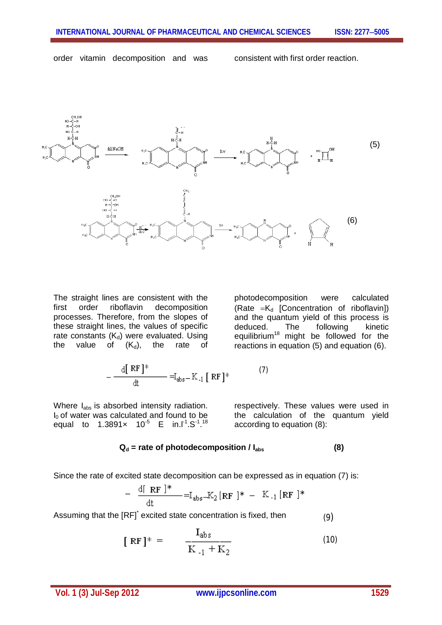order vitamin decomposition and was consistent with first order reaction.



The straight lines are consistent with the first order riboflavin decomposition processes. Therefore, from the slopes of these straight lines, the values of specific rate constants  $(K_d)$  were evaluated. Using the value of  $(K_d)$ , the rate of photodecomposition were calculated (Rate  $=K_d$  [Concentration of riboflavin]) and the quantum yield of this process is deduced. The following kinetic equilibrium<sup>18</sup> might be followed for the reactions in equation (5) and equation (6).

$$
-\frac{\mathrm{d}[\mathrm{RF}]^*}{\mathrm{d}t} = I_{\mathrm{abs}} - K_{-1}[\mathrm{RF}]^*
$$
 (7)

Where I<sub>abs</sub> is absorbed intensity radiation.  $I<sub>0</sub>$  of water was calculated and found to be equal to 1.3891 $\times$  10<sup>-5</sup> E in.l<sup>-1</sup>.S<sup>-1</sup>.<sup>18</sup>

respectively. These values were used in the calculation of the quantum yield according to equation (8):

#### **Q<sup>d</sup> = rate of photodecomposition / Iabs (8)**

Since the rate of excited state decomposition can be expressed as in equation (7) is:

$$
-\frac{d[RF]^*}{dt} = I_{\text{abs}} - K_2 [RF]^* - K_{-1} [RF]^*
$$

Assuming that the [RF]<sup>\*</sup> excited state concentration is fixed, then (9)

 $\sim$   $\sim$ 

$$
[RF]^* = \frac{I_{abs}}{K_{-1} + K_2}
$$
 (10)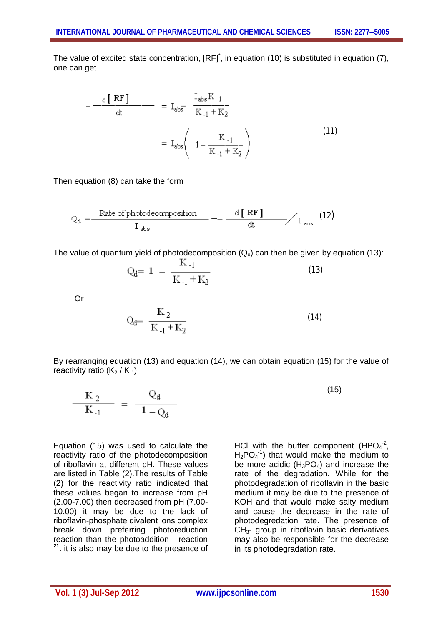The value of excited state concentration, [RF]<sup>\*</sup>, in equation (10) is substituted in equation (7), one can get

$$
-\frac{c [RF]}{dt} = I_{\text{abs}} \frac{I_{\text{abs}} K_{-1}}{K_{-1} + K_2}
$$

$$
= I_{\text{abs}} \left( 1 - \frac{K_{-1}}{K_{-1} + K_2} \right) \tag{11}
$$

Then equation (8) can take the form

$$
Q_{d} = \frac{\text{Rate of photodecomposition}}{I_{abs}} = -\frac{d[RF]}{dt} / 1_{\text{av}} \tag{12}
$$

The value of quantum yield of photodecomposition  $(Q_d)$  can then be given by equation (13):

$$
Q_{d} = 1 - \frac{K_{-1}}{K_{-1} + K_{2}}
$$
\n(13)

Or

$$
Q_{d} = \frac{K_2}{K_{-1} + K_2}
$$
 (14)

By rearranging equation (13) and equation (14), we can obtain equation (15) for the value of reactivity ratio  $(K_2/K_{-1})$ .

$$
\frac{K_2}{K_{-1}} = \frac{Q_d}{1 - Q_d}
$$
 (15)

Equation (15) was used to calculate the reactivity ratio of the photodecomposition of riboflavin at different pH. These values are listed in Table (2).The results of Table (2) for the reactivity ratio indicated that these values began to increase from pH (2.00-7.00) then decreased from pH (7.00- 10.00) it may be due to the lack of riboflavin-phosphate divalent ions complex break down preferring photoreduction reaction than the photoaddition reaction **21 .** it is also may be due to the presence of

HCI with the buffer component (HPO $4^2$ ,  $H_2PO_4^{-1}$ ) that would make the medium to be more acidic  $(H_3PO_4)$  and increase the rate of the degradation. While for the photodegradation of riboflavin in the basic medium it may be due to the presence of KOH and that would make salty medium and cause the decrease in the rate of photodegredation rate. The presence of  $CH<sub>3</sub>$ - group in riboflavin basic derivatives may also be responsible for the decrease in its photodegradation rate.